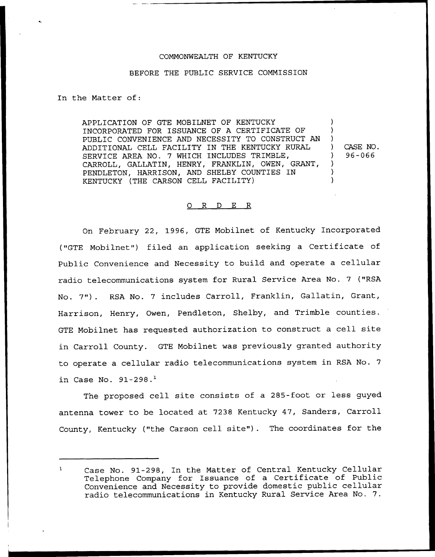## COMMONWEALTH OF KENTUCKY

## BEFORE THE PUBLIC SERVICE COMMISSION

In the Matter of:

APPLICATION OF GTE MOBILNET OF KENTUCKY INCORPORATED FOR ISSUANCE OF A CERTIFICATE OF PUBLIC CONVENIENCE AND NECESSITY TO CONSTRUCT AN ADDITIONAL CELL FACILITY IN THE KENTUCKY RURAL SERVICE AREA NO. 7 WHICH INCLUDES TRIMBLE, CARROLL, GALLATIN, HENRY, FRANKLIN, OWEN, GRANT, PENDLETON, HARRISON, AND SHELBY COUNTIES IN KENTUCKY (THE CARSON CELL FACILITY)

) CASE NO. ) 96-066

) ) )

> ) ) )

## 0 R <sup>D</sup> E R

On February 22, 1996, GTE Mobilnet of Kentucky Incorporated ("GTE Mobilnet") filed an application seeking a Certificate of Public Convenience and Necessity to build and operate a cellular radio telecommunications system for Rural Service Area No. <sup>7</sup> ("RSA No. 7"). RSA No. <sup>7</sup> includes Carroll, Franklin, Gallatin, Grant, Harrison, Henry, Owen, Pendleton, Shelby, and Trimble counties. GTE Mobilnet has requested authorization to construct a cell site in Carroll County. GTE Mobilnet was previously granted authority to operate a cellular radio telecommunications system in RSA No. 7 in Case No.  $91-298.$ <sup>1</sup>

The proposed cell site consists of a 285-foot or less guyed antenna tower to be located at 7238 Kentucky 47, Sanders, Carroll County, Kentucky ("the Carson cell site"). The coordinates for the

Case No. 91-298, In the Matter of Central Kentucky Cellular Telephone Company for Issuance of a Certificate of Public Convenience and Necessity to provide domestic public cellular radio telecommunications in Kentucky Rural Service Area No. 7.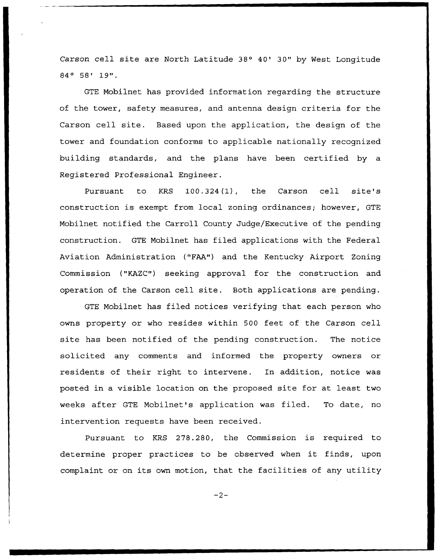Carson cell site are North Latitude 38° 40' 30" by West Longitude 84° 58' 19".

GTE Mobilnet has provided information regarding the structure of the tower, safety measures, and antenna design criteria for the Carson cell site. Based upon the application, the design of the tower and foundation conforms to applicable nationally recognized building standards, and the plans have been certified by a Registered Professional Engineer.

Pursuant to KRS 100.324(1), the Carson cell site's construction is exempt from local zoning ordinances; however, GTE Mobilnet notified the Carroll County Judge/Executive of the pending construction. GTE Mobilnet has filed applications with the Federal Aviation Administration ("FAA") and the Kentucky Airport Zoning Commission ("KAZC") seeking approval for the construction and operation of the Carson cell site. Both applications are pending.

GTE Mobilnet has filed notices verifying that each person who owns property or who resides within 500 feet of the Carson cell site has been notified of the pending construction. The notice solicited any comments and informed the property owners or residents of their right to intervene. In addition, notice was posted in a visible location on the proposed site for at least two weeks after QTE Mobilnet's application was filed. To date, no intervention requests have been received.

Pursuant to KRS 278.280, the Commission is required to determine proper practices to be observed when it finds, upon complaint or on its own motion, that the facilities of any utility

 $-2-$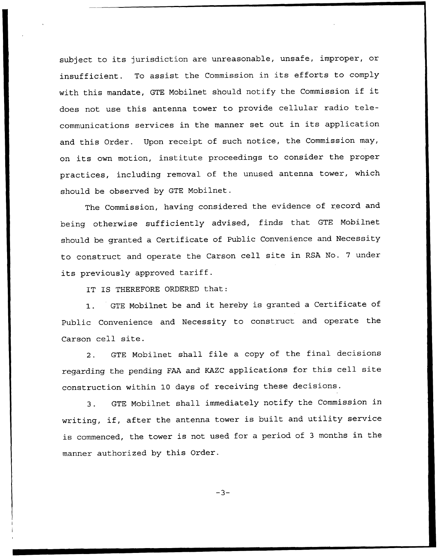subject to its jurisdiction are unreasonable, unsafe, improper, or insufficient. To assist the Commission in its efforts to comply with this mandate, GTE Mobilnet should notify the Commission if it does not use this antenna tower to provide cellular radio telecommunications services in the manner set out in its application and this Order. Upon receipt of such notice, the Commission may, on its own motion, institute proceedings to consider the proper practices, including removal of the unused antenna tower, which should be observed by GTE Mobilnet.

The Commission, having considered the evidence of record and being otherwise sufficiently advised, finds that GTE Mobilnet should be granted a Certificate of Public Convenience and Necessity to construct and operate the Carson cell site in RSA No. <sup>7</sup> under its previously approved tariff.

IT IS THEREFORE ORDERED that:

1. GTE Mobilnet be and it hereby is granted <sup>a</sup> Certificate of Public Convenience and Necessity to construct and operate the Carson cell site.

2. GTE Mobilnet shall file <sup>a</sup> copy of the final decisions regarding the pending FAA and KAZC applications for this cell site construction within 10 days of receiving these decisions.

3. GTE Mobilnet shall immediately notify the Commission in writing, if, after the antenna tower is built and utility service is commenced, the tower is not used for a period of <sup>3</sup> months in the manner authorized by this Order.

 $-3-$